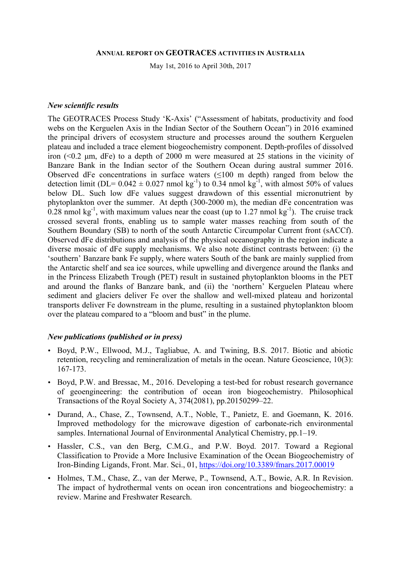#### **ANNUAL REPORT ON GEOTRACES ACTIVITIES IN AUSTRALIA**

May 1st, 2016 to April 30th, 2017

### *New scientific results*

The GEOTRACES Process Study 'K-Axis' ("Assessment of habitats, productivity and food webs on the Kerguelen Axis in the Indian Sector of the Southern Ocean") in 2016 examined the principal drivers of ecosystem structure and processes around the southern Kerguelen plateau and included a trace element biogeochemistry component. Depth-profiles of dissolved iron (<0.2 µm, dFe) to a depth of 2000 m were measured at 25 stations in the vicinity of Banzare Bank in the Indian sector of the Southern Ocean during austral summer 2016. Observed dFe concentrations in surface waters  $(\leq 100 \text{ m}$  depth) ranged from below the detection limit (DL=  $0.042 \pm 0.027$  nmol kg<sup>-1</sup>) to 0.34 nmol kg<sup>-1</sup>, with almost 50% of values below DL. Such low dFe values suggest drawdown of this essential micronutrient by phytoplankton over the summer. At depth (300-2000 m), the median dFe concentration was  $0.28$  nmol kg<sup>-1</sup>, with maximum values near the coast (up to 1.27 nmol kg<sup>-1</sup>). The cruise track crossed several fronts, enabling us to sample water masses reaching from south of the Southern Boundary (SB) to north of the south Antarctic Circumpolar Current front (sACCf). Observed dFe distributions and analysis of the physical oceanography in the region indicate a diverse mosaic of dFe supply mechanisms. We also note distinct contrasts between: (i) the 'southern' Banzare bank Fe supply, where waters South of the bank are mainly supplied from the Antarctic shelf and sea ice sources, while upwelling and divergence around the flanks and in the Princess Elizabeth Trough (PET) result in sustained phytoplankton blooms in the PET and around the flanks of Banzare bank, and (ii) the 'northern' Kerguelen Plateau where sediment and glaciers deliver Fe over the shallow and well-mixed plateau and horizontal transports deliver Fe downstream in the plume, resulting in a sustained phytoplankton bloom over the plateau compared to a "bloom and bust" in the plume.

### *New publications (published or in press)*

- Boyd, P.W., Ellwood, M.J., Tagliabue, A. and Twining, B.S. 2017. Biotic and abiotic retention, recycling and remineralization of metals in the ocean. Nature Geoscience, 10(3): 167-173.
- Boyd, P.W. and Bressac, M., 2016. Developing a test-bed for robust research governance of geoengineering: the contribution of ocean iron biogeochemistry. Philosophical Transactions of the Royal Society A, 374(2081), pp.20150299–22.
- Durand, A., Chase, Z., Townsend, A.T., Noble, T., Panietz, E. and Goemann, K. 2016. Improved methodology for the microwave digestion of carbonate-rich environmental samples. International Journal of Environmental Analytical Chemistry, pp.1–19.
- Hassler, C.S., van den Berg, C.M.G., and P.W. Boyd. 2017. Toward a Regional Classification to Provide a More Inclusive Examination of the Ocean Biogeochemistry of Iron-Binding Ligands, Front. Mar. Sci., 01, https://doi.org/10.3389/fmars.2017.00019
- Holmes, T.M., Chase, Z., van der Merwe, P., Townsend, A.T., Bowie, A.R. In Revision. The impact of hydrothermal vents on ocean iron concentrations and biogeochemistry: a review. Marine and Freshwater Research.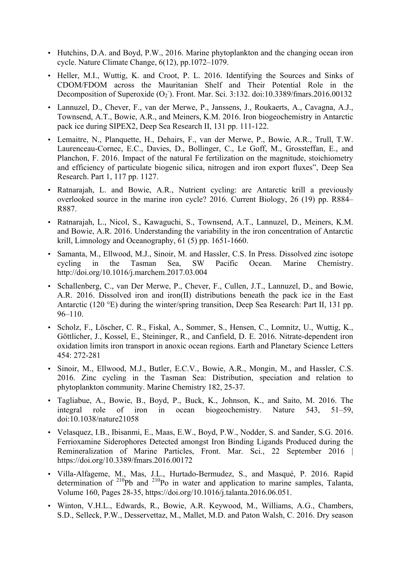- Hutchins, D.A. and Boyd, P.W., 2016. Marine phytoplankton and the changing ocean iron cycle. Nature Climate Change, 6(12), pp.1072–1079.
- Heller, M.I., Wuttig, K. and Croot, P. L. 2016. Identifying the Sources and Sinks of CDOM/FDOM across the Mauritanian Shelf and Their Potential Role in the Decomposition of Superoxide  $(O_2)$ . Front. Mar. Sci. 3:132. doi:10.3389/fmars.2016.00132
- Lannuzel, D., Chever, F., van der Merwe, P., Janssens, J., Roukaerts, A., Cavagna, A.J., Townsend, A.T., Bowie, A.R., and Meiners, K.M. 2016. Iron biogeochemistry in Antarctic pack ice during SIPEX2, Deep Sea Research II, 131 pp. 111-122.
- Lemaitre, N., Planquette, H., Dehairs, F., van der Merwe, P., Bowie, A.R., Trull, T.W. Laurenceau-Cornec, E.C., Davies, D., Bollinger, C., Le Goff, M., Grossteffan, E., and Planchon, F. 2016. Impact of the natural Fe fertilization on the magnitude, stoichiometry and efficiency of particulate biogenic silica, nitrogen and iron export fluxes", Deep Sea Research. Part 1, 117 pp. 1127.
- Ratnarajah, L. and Bowie, A.R., Nutrient cycling: are Antarctic krill a previously overlooked source in the marine iron cycle? 2016. Current Biology, 26 (19) pp. R884– R887.
- Ratnarajah, L., Nicol, S., Kawaguchi, S., Townsend, A.T., Lannuzel, D., Meiners, K.M. and Bowie, A.R. 2016. Understanding the variability in the iron concentration of Antarctic krill, Limnology and Oceanography, 61 (5) pp. 1651-1660.
- Samanta, M., Ellwood, M.J., Sinoir, M. and Hassler, C.S. In Press. Dissolved zinc isotope cycling in the Tasman Sea, SW Pacific Ocean. Marine Chemistry. http://doi.org/10.1016/j.marchem.2017.03.004
- Schallenberg, C., van Der Merwe, P., Chever, F., Cullen, J.T., Lannuzel, D., and Bowie, A.R. 2016. Dissolved iron and iron(II) distributions beneath the pack ice in the East Antarctic (120 °E) during the winter/spring transition, Deep Sea Research: Part II, 131 pp. 96–110.
- Scholz, F., Löscher, C. R., Fiskal, A., Sommer, S., Hensen, C., Lomnitz, U., Wuttig, K., Göttlicher, J., Kossel, E., Steininger, R., and Canfield, D. E. 2016. Nitrate-dependent iron oxidation limits iron transport in anoxic ocean regions. Earth and Planetary Science Letters 454: 272-281
- Sinoir, M., Ellwood, M.J., Butler, E.C.V., Bowie, A.R., Mongin, M., and Hassler, C.S. 2016. Zinc cycling in the Tasman Sea: Distribution, speciation and relation to phytoplankton community. Marine Chemistry 182, 25-37.
- Tagliabue, A., Bowie, B., Boyd, P., Buck, K., Johnson, K., and Saito, M. 2016. The integral role of iron in ocean biogeochemistry. Nature 543. 51–59. in ocean biogeochemistry. Nature 543, 51–59, doi:10.1038/nature21058
- Velasquez, I.B., Ibisanmi, E., Maas, E.W., Boyd, P.W., Nodder, S. and Sander, S.G. 2016. Ferrioxamine Siderophores Detected amongst Iron Binding Ligands Produced during the Remineralization of Marine Particles, Front. Mar. Sci., 22 September 2016 | https://doi.org/10.3389/fmars.2016.00172
- Villa-Alfageme, M., Mas, J.L., Hurtado-Bermudez, S., and Masqué, P. 2016. Rapid determination of  $2^{10}Pb$  and  $2^{10}Po$  in water and application to marine samples, Talanta, Volume 160, Pages 28-35, https://doi.org/10.1016/j.talanta.2016.06.051.
- Winton, V.H.L., Edwards, R., Bowie, A.R. Keywood, M., Williams, A.G., Chambers, S.D., Selleck, P.W., Desservettaz, M., Mallet, M.D. and Paton Walsh, C. 2016. Dry season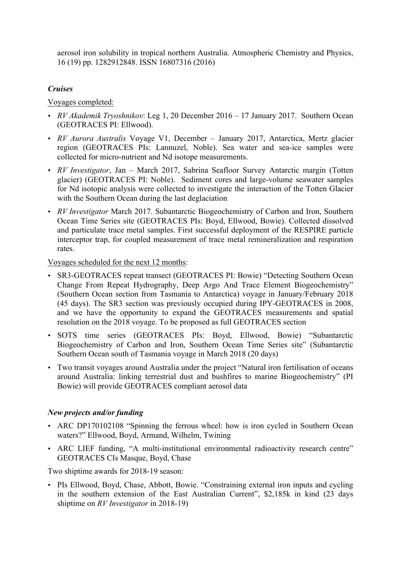aerosol iron solubility in tropical northern Australia. Atmospheric Chemistry and Physics, 16 (19) pp. 1282912848. ISSN 16807316 (2016)

## *Cruises*

Voyages completed:

- *RV Akademik Tryoshnikov*: Leg 1, 20 December 2016 17 January 2017. Southern Ocean (GEOTRACES PI: Ellwood).
- *RV Aurora Australis* Voyage V1, December January 2017, Antarctica, Mertz glacier region (GEOTRACES PIs: Lannuzel, Noble). Sea water and sea-ice samples were collected for micro-nutrient and Nd isotope measurements.
- *RV Investigator*, Jan March 2017, Sabrina Seafloor Survey Antarctic margin (Totten glacier) (GEOTRACES PI: Noble). Sediment cores and large-volume seawater samples for Nd isotopic analysis were collected to investigate the interaction of the Totten Glacier with the Southern Ocean during the last deglaciation
- *RV Investigator* March 2017. Subantarctic Biogeochemistry of Carbon and Iron, Southern Ocean Time Series site (GEOTRACES PIs: Boyd, Ellwood, Bowie). Collected dissolved and particulate trace metal samples. First successful deployment of the RESPIRE particle interceptor trap, for coupled measurement of trace metal remineralization and respiration rates.

Voyages scheduled for the next 12 months:

- SR3-GEOTRACES repeat transect (GEOTRACES PI: Bowie) "Detecting Southern Ocean Change From Repeat Hydrography, Deep Argo And Trace Element Biogeochemistry" (Southern Ocean section from Tasmania to Antarctica) voyage in January/February 2018 (45 days). The SR3 section was previously occupied during IPY-GEOTRACES in 2008, and we have the opportunity to expand the GEOTRACES measurements and spatial resolution on the 2018 voyage. To be proposed as full GEOTRACES section
- SOTS time series (GEOTRACES PIs: Boyd, Ellwood, Bowie) "Subantarctic Biogeochemistry of Carbon and Iron, Southern Ocean Time Series site" (Subantarctic Southern Ocean south of Tasmania voyage in March 2018 (20 days)
- Two transit voyages around Australia under the project "Natural iron fertilisation of oceans around Australia: linking terrestrial dust and bushfires to marine Biogeochemistry" (PI Bowie) will provide GEOTRACES compliant aerosol data

# *New projects and/or funding*

- ARC DP170102108 "Spinning the ferrous wheel: how is iron cycled in Southern Ocean waters?" Ellwood, Boyd, Armand, Wilhelm, Twining
- ARC LIEF funding, "A multi-institutional environmental radioactivity research centre" GEOTRACES CIs Masque, Boyd, Chase

Two shiptime awards for 2018-19 season:

• PIs Ellwood, Boyd, Chase, Abbott, Bowie. "Constraining external iron inputs and cycling in the southern extension of the East Australian Current", \$2,185k in kind (23 days shiptime on *RV Investigator* in 2018-19)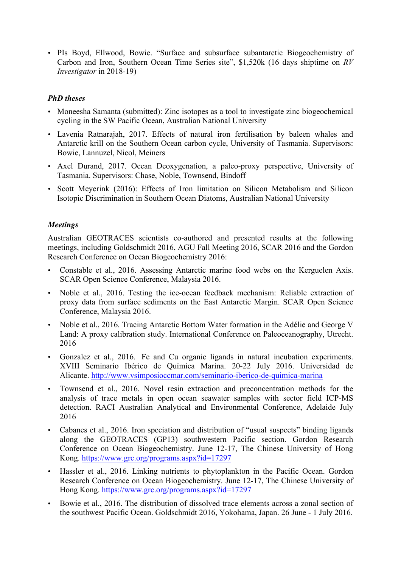• PIs Boyd, Ellwood, Bowie. "Surface and subsurface subantarctic Biogeochemistry of Carbon and Iron, Southern Ocean Time Series site", \$1,520k (16 days shiptime on *RV Investigator* in 2018-19)

## *PhD theses*

- Moneesha Samanta (submitted): Zinc isotopes as a tool to investigate zinc biogeochemical cycling in the SW Pacific Ocean, Australian National University
- Lavenia Ratnarajah, 2017. Effects of natural iron fertilisation by baleen whales and Antarctic krill on the Southern Ocean carbon cycle, University of Tasmania. Supervisors: Bowie, Lannuzel, Nicol, Meiners
- Axel Durand, 2017. Ocean Deoxygenation, a paleo-proxy perspective, University of Tasmania. Supervisors: Chase, Noble, Townsend, Bindoff
- Scott Meyerink (2016): Effects of Iron limitation on Silicon Metabolism and Silicon Isotopic Discrimination in Southern Ocean Diatoms, Australian National University

## *Meetings*

Australian GEOTRACES scientists co-authored and presented results at the following meetings, including Goldschmidt 2016, AGU Fall Meeting 2016, SCAR 2016 and the Gordon Research Conference on Ocean Biogeochemistry 2016:

- Constable et al., 2016. Assessing Antarctic marine food webs on the Kerguelen Axis. SCAR Open Science Conference, Malaysia 2016.
- Noble et al., 2016. Testing the ice-ocean feedback mechanism: Reliable extraction of proxy data from surface sediments on the East Antarctic Margin. SCAR Open Science Conference, Malaysia 2016.
- Noble et al., 2016. Tracing Antarctic Bottom Water formation in the Adélie and George V Land: A proxy calibration study. International Conference on Paleoceanography, Utrecht. 2016
- Gonzalez et al., 2016. Fe and Cu organic ligands in natural incubation experiments. XVIII Seminario Ibérico de Química Marina. 20-22 July 2016. Universidad de Alicante. http://www.vsimposioccmar.com/seminario-iberico-de-quimica-marina
- Townsend et al., 2016. Novel resin extraction and preconcentration methods for the analysis of trace metals in open ocean seawater samples with sector field ICP-MS detection. RACI Australian Analytical and Environmental Conference, Adelaide July 2016
- Cabanes et al., 2016. Iron speciation and distribution of "usual suspects" binding ligands along the GEOTRACES (GP13) southwestern Pacific section. Gordon Research Conference on Ocean Biogeochemistry. June 12-17, The Chinese University of Hong Kong. https://www.grc.org/programs.aspx?id=17297
- Hassler et al., 2016. Linking nutrients to phytoplankton in the Pacific Ocean. Gordon Research Conference on Ocean Biogeochemistry. June 12-17, The Chinese University of Hong Kong. https://www.grc.org/programs.aspx?id=17297
- Bowie et al., 2016. The distribution of dissolved trace elements across a zonal section of the southwest Pacific Ocean. Goldschmidt 2016, Yokohama, Japan. 26 June - 1 July 2016.